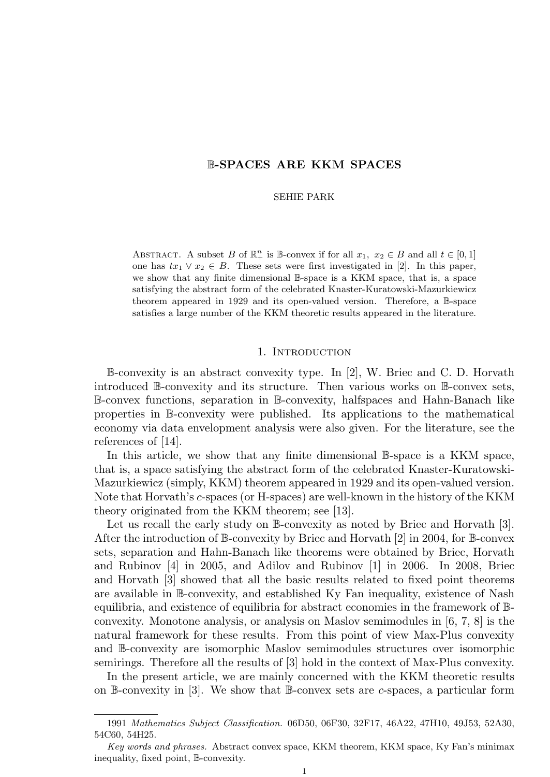# B-SPACES ARE KKM SPACES

#### SEHIE PARK

ABSTRACT. A subset B of  $\mathbb{R}^n_+$  is B-convex if for all  $x_1, x_2 \in B$  and all  $t \in [0,1]$ one has  $tx_1 \vee x_2 \in B$ . These sets were first investigated in [2]. In this paper, we show that any finite dimensional B-space is a KKM space, that is, a space satisfying the abstract form of the celebrated Knaster-Kuratowski-Mazurkiewicz theorem appeared in 1929 and its open-valued version. Therefore, a B-space satisfies a large number of the KKM theoretic results appeared in the literature.

# 1. INTRODUCTION

B-convexity is an abstract convexity type. In [2], W. Briec and C. D. Horvath introduced B-convexity and its structure. Then various works on B-convex sets, B-convex functions, separation in B-convexity, halfspaces and Hahn-Banach like properties in B-convexity were published. Its applications to the mathematical economy via data envelopment analysis were also given. For the literature, see the references of [14].

In this article, we show that any finite dimensional B-space is a KKM space, that is, a space satisfying the abstract form of the celebrated Knaster-Kuratowski-Mazurkiewicz (simply, KKM) theorem appeared in 1929 and its open-valued version. Note that Horvath's c-spaces (or H-spaces) are well-known in the history of the KKM theory originated from the KKM theorem; see [13].

Let us recall the early study on B-convexity as noted by Briec and Horvath [3]. After the introduction of  $\mathbb{B}$ -convexity by Briec and Horvath [2] in 2004, for  $\mathbb{B}$ -convex sets, separation and Hahn-Banach like theorems were obtained by Briec, Horvath and Rubinov [4] in 2005, and Adilov and Rubinov [1] in 2006. In 2008, Briec and Horvath [3] showed that all the basic results related to fixed point theorems are available in B-convexity, and established Ky Fan inequality, existence of Nash equilibria, and existence of equilibria for abstract economies in the framework of Bconvexity. Monotone analysis, or analysis on Maslov semimodules in [6, 7, 8] is the natural framework for these results. From this point of view Max-Plus convexity and B-convexity are isomorphic Maslov semimodules structures over isomorphic semirings. Therefore all the results of [3] hold in the context of Max-Plus convexity.

In the present article, we are mainly concerned with the KKM theoretic results on B-convexity in  $[3]$ . We show that B-convex sets are c-spaces, a particular form

<sup>1991</sup> Mathematics Subject Classification. 06D50, 06F30, 32F17, 46A22, 47H10, 49J53, 52A30, 54C60, 54H25.

Key words and phrases. Abstract convex space, KKM theorem, KKM space, Ky Fan's minimax inequality, fixed point, B-convexity.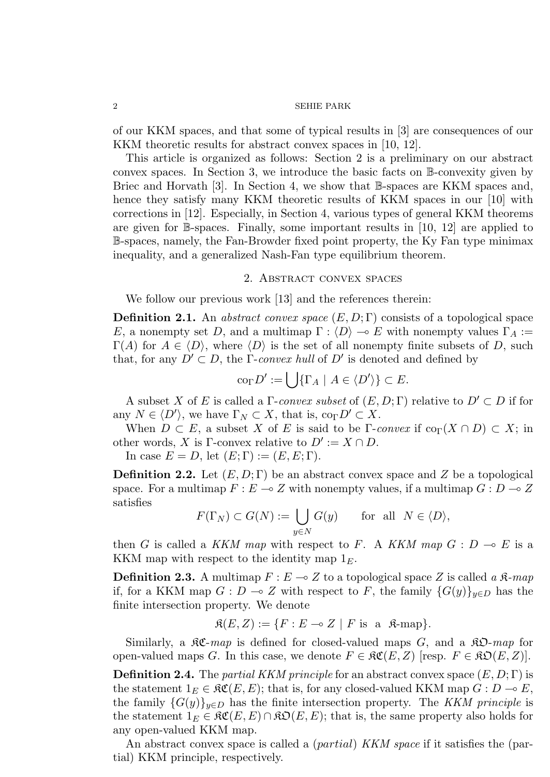of our KKM spaces, and that some of typical results in [3] are consequences of our KKM theoretic results for abstract convex spaces in [10, 12].

This article is organized as follows: Section 2 is a preliminary on our abstract convex spaces. In Section 3, we introduce the basic facts on B-convexity given by Briec and Horvath [3]. In Section 4, we show that B-spaces are KKM spaces and, hence they satisfy many KKM theoretic results of KKM spaces in our [10] with corrections in [12]. Especially, in Section 4, various types of general KKM theorems are given for B-spaces. Finally, some important results in [10, 12] are applied to B-spaces, namely, the Fan-Browder fixed point property, the Ky Fan type minimax inequality, and a generalized Nash-Fan type equilibrium theorem.

# 2. ABSTRACT CONVEX SPACES

We follow our previous work [13] and the references therein:

**Definition 2.1.** An *abstract convex space*  $(E, D; \Gamma)$  consists of a topological space E, a nonempty set D, and a multimap  $\Gamma : \langle D \rangle \to E$  with nonempty values  $\Gamma_A :=$  $\Gamma(A)$  for  $A \in \langle D \rangle$ , where  $\langle D \rangle$  is the set of all nonempty finite subsets of D, such that, for any  $D' \subset D$ , the Γ-convex hull of D' is denoted and defined by

$$
\mathrm{co}_{\Gamma} D' := \bigcup \{ \Gamma_A \mid A \in \langle D' \rangle \} \subset E.
$$

A subset X of E is called a  $\Gamma$ -convex subset of  $(E, D; \Gamma)$  relative to  $D' \subset D$  if for any  $N \in \langle D' \rangle$ , we have  $\Gamma_N \subset X$ , that is,  $\text{co}_{\Gamma} D' \subset X$ .

When  $D \subset E$ , a subset X of E is said to be Γ-convex if  $\text{co}_{\Gamma}(X \cap D) \subset X$ ; in other words, X is Γ-convex relative to  $D' := X \cap D$ .

In case  $E = D$ , let  $(E; \Gamma) := (E, E; \Gamma)$ .

**Definition 2.2.** Let  $(E, D; \Gamma)$  be an abstract convex space and Z be a topological space. For a multimap  $F : E \longrightarrow Z$  with nonempty values, if a multimap  $G : D \longrightarrow Z$ satisfies

$$
F(\Gamma_N) \subset G(N) := \bigcup_{y \in N} G(y) \quad \text{for all } N \in \langle D \rangle,
$$

then G is called a KKM map with respect to F. A KKM map  $G: D \multimap E$  is a KKM map with respect to the identity map  $1<sub>E</sub>$ .

**Definition 2.3.** A multimap  $F: E \to Z$  to a topological space Z is called a  $\mathcal{R}$ -map if, for a KKM map  $G : D \to Z$  with respect to F, the family  ${G(y)}_{y \in D}$  has the finite intersection property. We denote

$$
\mathfrak{K}(E, Z) := \{ F : E \multimap Z \mid F \text{ is a } \mathfrak{K}\text{-map} \}.
$$

Similarly, a  $\mathcal{RC}-map$  is defined for closed-valued maps G, and a  $\mathcal{RD}-map$  for open-valued maps G. In this case, we denote  $F \in \mathfrak{RC}(E, Z)$  [resp.  $F \in \mathfrak{RO}(E, Z)$ ].

**Definition 2.4.** The partial KKM principle for an abstract convex space  $(E, D; \Gamma)$  is the statement  $1_E \in \mathfrak{RC}(E, E)$ ; that is, for any closed-valued KKM map  $G : D \to E$ , the family  ${G(y)}_{y\in D}$  has the finite intersection property. The KKM principle is the statement  $1_E \in \mathfrak{SC}(E, E) \cap \mathfrak{SO}(E, E)$ ; that is, the same property also holds for any open-valued KKM map.

An abstract convex space is called a (partial) KKM space if it satisfies the (partial) KKM principle, respectively.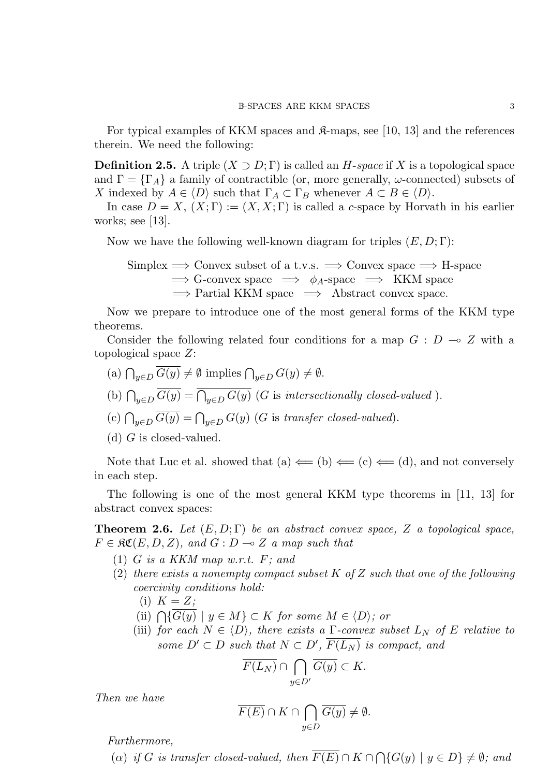For typical examples of KKM spaces and  $\mathcal{R}$ -maps, see [10, 13] and the references therein. We need the following:

**Definition 2.5.** A triple  $(X \supset D; \Gamma)$  is called an H-space if X is a topological space and  $\Gamma = \{\Gamma_A\}$  a family of contractible (or, more generally,  $\omega$ -connected) subsets of X indexed by  $A \in \langle D \rangle$  such that  $\Gamma_A \subset \Gamma_B$  whenever  $A \subset B \in \langle D \rangle$ .

In case  $D = X$ ,  $(X; \Gamma) := (X, X; \Gamma)$  is called a c-space by Horvath in his earlier works; see [13].

Now we have the following well-known diagram for triples  $(E, D; \Gamma)$ :

Simplex  $\Rightarrow$  Convex subset of a t.v.s.  $\Rightarrow$  Convex space  $\Rightarrow$  H-space  $\Rightarrow$  G-convex space  $\Rightarrow \phi_A$ -space  $\Rightarrow$  KKM space  $\Rightarrow$  Partial KKM space  $\Rightarrow$  Abstract convex space.

Now we prepare to introduce one of the most general forms of the KKM type theorems.

Consider the following related four conditions for a map  $G : D \multimap Z$  with a topological space Z:

- (a)  $\bigcap_{y\in D} G(y) \neq \emptyset$  implies  $\bigcap_{y\in D} G(y) \neq \emptyset$ .
- (b)  $\bigcap_{y\in D} G(y) = \bigcap_{y\in D} G(y)$  (G is intersectionally closed-valued).
- (c)  $\bigcap_{y\in D} G(y) = \bigcap_{y\in D} G(y)$  (G is transfer closed-valued).

(d)  $G$  is closed-valued.

Note that Luc et al. showed that (a)  $\Leftarrow$  (b)  $\Leftarrow$  (c)  $\Leftarrow$  (d), and not conversely in each step.

The following is one of the most general KKM type theorems in [11, 13] for abstract convex spaces:

**Theorem 2.6.** Let  $(E, D; \Gamma)$  be an abstract convex space, Z a topological space,  $F \in \mathfrak{RC}(E, D, Z)$ , and  $G : D \multimap Z$  a map such that

- (1)  $\overline{G}$  is a KKM map w.r.t. F; and
- (2) there exists a nonempty compact subset  $K$  of  $Z$  such that one of the following coercivity conditions hold:
	- (i)  $K = Z$ ;
	- (ii)  $\bigcap \{G(y) \mid y \in M\} \subset K$  for some  $M \in \langle D \rangle$ ; or
	- (iii) for each  $N \in \langle D \rangle$ , there exists a Γ-convex subset  $L_N$  of E relative to some  $D' \subset D$  such that  $N \subset D'$ ,  $\overline{F(L_N)}$  is compact, and

$$
\overline{F(L_N)} \cap \bigcap_{y \in D'} \overline{G(y)} \subset K.
$$

Then we have

$$
\overline{F(E)} \cap K \cap \bigcap_{y \in D} \overline{G(y)} \neq \emptyset.
$$

Furthermore,

(a) if G is transfer closed-valued, then  $F(E) \cap K \cap \bigcap \{G(y) \mid y \in D\} \neq \emptyset$ ; and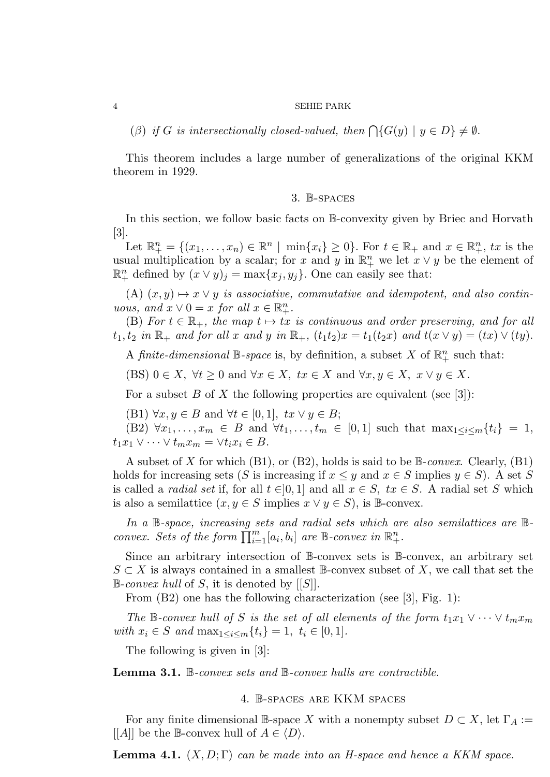(β) if G is intersectionally closed-valued, then  $\bigcap \{G(y) \mid y \in D\} \neq \emptyset$ .

This theorem includes a large number of generalizations of the original KKM theorem in 1929.

# 3. B-spaces

In this section, we follow basic facts on B-convexity given by Briec and Horvath [3].

Let  $\mathbb{R}^n_+ = \{(x_1, \ldots, x_n) \in \mathbb{R}^n \mid \min\{x_i\} \geq 0\}$ . For  $t \in \mathbb{R}_+$  and  $x \in \mathbb{R}^n_+$ ,  $tx$  is the usual multiplication by a scalar; for x and y in  $\mathbb{R}^n_+$  we let  $x \vee y$  be the element of  $\mathbb{R}^n_+$  defined by  $(x \vee y)_j = \max\{x_j, y_j\}$ . One can easily see that:

(A)  $(x, y) \mapsto x \vee y$  is associative, commutative and idempotent, and also continuous, and  $x \vee 0 = x$  for all  $x \in \mathbb{R}^n_+$ .

(B) For  $t \in \mathbb{R}_+$ , the map  $t \mapsto tx$  is continuous and order preserving, and for all  $t_1, t_2$  in  $\mathbb{R}_+$  and for all x and y in  $\mathbb{R}_+$ ,  $(t_1t_2)x = t_1(t_2x)$  and  $t(x \vee y) = (tx) \vee (ty)$ .

A finite-dimensional  $\mathbb{B}$ -space is, by definition, a subset X of  $\mathbb{R}^n_+$  such that:

(BS)  $0 \in X$ ,  $\forall t \geq 0$  and  $\forall x \in X$ ,  $tx \in X$  and  $\forall x, y \in X$ ,  $x \vee y \in X$ .

For a subset B of X the following properties are equivalent (see [3]):

(B1)  $\forall x, y \in B$  and  $\forall t \in [0,1], tx \vee y \in B;$ 

(B2)  $\forall x_1, \ldots, x_m \in B$  and  $\forall t_1, \ldots, t_m \in [0,1]$  such that  $\max_{1 \leq i \leq m} \{t_i\} = 1$ ,  $t_1x_1 \vee \cdots \vee t_mx_m = \vee t_ix_i \in B.$ 

A subset of X for which  $(B1)$ , or  $(B2)$ , holds is said to be  $\mathbb{B}\text{-}convex$ . Clearly,  $(B1)$ holds for increasing sets (S is increasing if  $x \leq y$  and  $x \in S$  implies  $y \in S$ ). A set S is called a *radial set* if, for all  $t \in ]0,1]$  and all  $x \in S$ ,  $tx \in S$ . A radial set S which is also a semilattice  $(x, y \in S \text{ implies } x \vee y \in S)$ , is B-convex.

In a B-space, increasing sets and radial sets which are also semilattices are Bconvex. Sets of the form  $\prod_{i=1}^{m} [a_i, b_i]$  are B-convex in  $\mathbb{R}^n_+$ .

Since an arbitrary intersection of B-convex sets is B-convex, an arbitrary set  $S \subset X$  is always contained in a smallest B-convex subset of X, we call that set the  $\mathbb{B}\text{-}convex hull$  of S, it is denoted by [[S]].

From (B2) one has the following characterization (see [3], Fig. 1):

The B-convex hull of S is the set of all elements of the form  $t_1x_1 \vee \cdots \vee t_mx_m$ with  $x_i \in S$  and  $\max_{1 \leq i \leq m} \{t_i\} = 1, t_i \in [0, 1].$ 

The following is given in [3]:

Lemma 3.1. B-convex sets and B-convex hulls are contractible.

### 4. B-spaces are KKM spaces

For any finite dimensional B-space X with a nonempty subset  $D \subset X$ , let  $\Gamma_A :=$ [[A]] be the B-convex hull of  $A \in \langle D \rangle$ .

**Lemma 4.1.**  $(X, D; \Gamma)$  can be made into an H-space and hence a KKM space.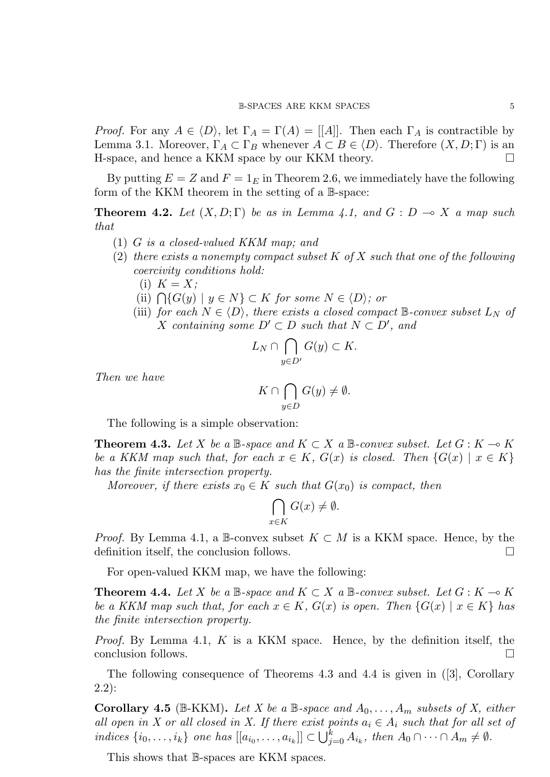*Proof.* For any  $A \in \langle D \rangle$ , let  $\Gamma_A = \Gamma(A) = |A|$ . Then each  $\Gamma_A$  is contractible by Lemma 3.1. Moreover,  $\Gamma_A \subset \Gamma_B$  whenever  $A \subset B \in \langle D \rangle$ . Therefore  $(X, D; \Gamma)$  is an H-space, and hence a KKM space by our KKM theory.

By putting  $E = Z$  and  $F = 1<sub>E</sub>$  in Theorem 2.6, we immediately have the following form of the KKM theorem in the setting of a B-space:

**Theorem 4.2.** Let  $(X, D; \Gamma)$  be as in Lemma 4.1, and  $G: D \to X$  a map such that

- (1) G is a closed-valued KKM map; and
- (2) there exists a nonempty compact subset  $K$  of  $X$  such that one of the following coercivity conditions hold:
	- (i)  $K = X;$
	- (ii)  $\bigcap \{G(y) \mid y \in N\} \subset K$  for some  $N \in \langle D \rangle$ ; or
	- (iii) for each  $N \in \langle D \rangle$ , there exists a closed compact B-convex subset  $L_N$  of X containing some  $D' \subset D$  such that  $N \subset D'$ , and

$$
L_N \cap \bigcap_{y \in D'} G(y) \subset K.
$$

Then we have

$$
K \cap \bigcap_{y \in D} G(y) \neq \emptyset.
$$

The following is a simple observation:

**Theorem 4.3.** Let X be a B-space and  $K \subset X$  a B-convex subset. Let  $G : K \to K$ be a KKM map such that, for each  $x \in K$ ,  $G(x)$  is closed. Then  $\{G(x) \mid x \in K\}$ has the finite intersection property.

Moreover, if there exists  $x_0 \in K$  such that  $G(x_0)$  is compact, then

$$
\bigcap_{x \in K} G(x) \neq \emptyset.
$$

*Proof.* By Lemma 4.1, a B-convex subset  $K \subset M$  is a KKM space. Hence, by the definition itself, the conclusion follows.

For open-valued KKM map, we have the following:

**Theorem 4.4.** Let X be a  $\mathbb{B}$ -space and  $K \subset X$  a  $\mathbb{B}$ -convex subset. Let  $G : K \to K$ be a KKM map such that, for each  $x \in K$ ,  $G(x)$  is open. Then  $\{G(x) | x \in K\}$  has the finite intersection property.

*Proof.* By Lemma 4.1,  $K$  is a KKM space. Hence, by the definition itself, the conclusion follows.

The following consequence of Theorems 4.3 and 4.4 is given in ([3], Corollary 2.2):

**Corollary 4.5** (B-KKM). Let X be a B-space and  $A_0, \ldots, A_m$  subsets of X, either all open in X or all closed in X. If there exist points  $a_i \in A_i$  such that for all set of indices  $\{i_0, \ldots, i_k\}$  one has  $[[a_{i_0}, \ldots, a_{i_k}]] \subset \bigcup_{j=0}^k A_{i_k}$ , then  $A_0 \cap \cdots \cap A_m \neq \emptyset$ .

This shows that B-spaces are KKM spaces.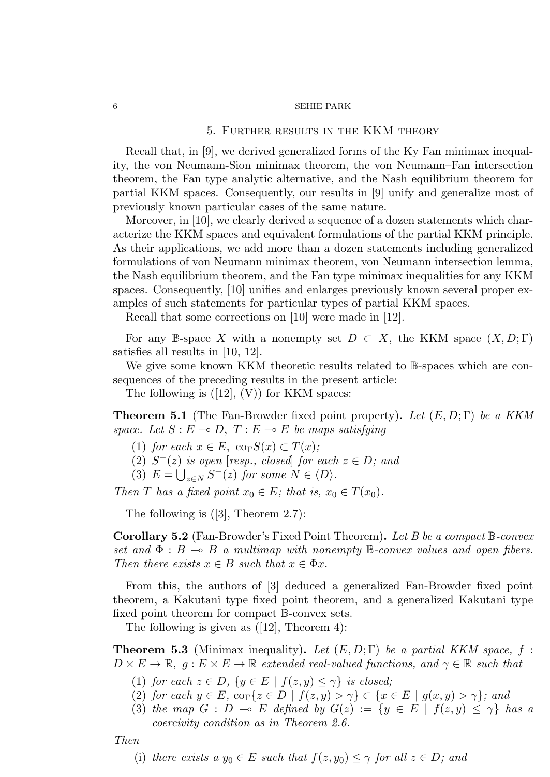# 5. Further results in the KKM theory

Recall that, in [9], we derived generalized forms of the Ky Fan minimax inequality, the von Neumann-Sion minimax theorem, the von Neumann–Fan intersection theorem, the Fan type analytic alternative, and the Nash equilibrium theorem for partial KKM spaces. Consequently, our results in [9] unify and generalize most of previously known particular cases of the same nature.

Moreover, in [10], we clearly derived a sequence of a dozen statements which characterize the KKM spaces and equivalent formulations of the partial KKM principle. As their applications, we add more than a dozen statements including generalized formulations of von Neumann minimax theorem, von Neumann intersection lemma, the Nash equilibrium theorem, and the Fan type minimax inequalities for any KKM spaces. Consequently, [10] unifies and enlarges previously known several proper examples of such statements for particular types of partial KKM spaces.

Recall that some corrections on [10] were made in [12].

For any B-space X with a nonempty set  $D \subset X$ , the KKM space  $(X, D; \Gamma)$ satisfies all results in [10, 12].

We give some known KKM theoretic results related to  $\mathbb B$ -spaces which are consequences of the preceding results in the present article:

The following is  $([12], (V))$  for KKM spaces:

**Theorem 5.1** (The Fan-Browder fixed point property). Let  $(E, D; \Gamma)$  be a KKM space. Let  $S : E \to D$ ,  $T : E \to E$  be maps satisfying

- (1) for each  $x \in E$ , co<sub>Γ</sub> $S(x) \subset T(x)$ ;
- (2)  $S^{-}(z)$  is open [resp., closed] for each  $z \in D$ ; and
- (3)  $E = \bigcup_{z \in N} S^{-}(z)$  for some  $N \in \langle D \rangle$ .

Then T has a fixed point  $x_0 \in E$ ; that is,  $x_0 \in T(x_0)$ .

The following is ([3], Theorem 2.7):

**Corollary 5.2** (Fan-Browder's Fixed Point Theorem). Let B be a compact  $\mathbb{B}$ -convex set and  $\Phi : B \multimap B$  a multimap with nonempty B-convex values and open fibers. Then there exists  $x \in B$  such that  $x \in \Phi x$ .

From this, the authors of [3] deduced a generalized Fan-Browder fixed point theorem, a Kakutani type fixed point theorem, and a generalized Kakutani type fixed point theorem for compact B-convex sets.

The following is given as ([12], Theorem 4):

**Theorem 5.3** (Minimax inequality). Let  $(E, D; \Gamma)$  be a partial KKM space, f:  $D \times E \to \overline{\mathbb{R}}, g : E \times E \to \overline{\mathbb{R}}$  extended real-valued functions, and  $\gamma \in \overline{\mathbb{R}}$  such that

- (1) for each  $z \in D$ ,  $\{y \in E \mid f(z, y) \leq \gamma\}$  is closed;
- (2) for each  $y \in E$ ,  $\text{co}_{\Gamma} \{z \in D \mid f(z, y) > \gamma\} \subset \{x \in E \mid g(x, y) > \gamma\}$ ; and
- (3) the map  $G : D \multimap E$  defined by  $G(z) := \{y \in E \mid f(z, y) \leq \gamma\}$  has a coercivity condition as in Theorem 2.6.

Then

(i) there exists a  $y_0 \in E$  such that  $f(z, y_0) \leq \gamma$  for all  $z \in D$ ; and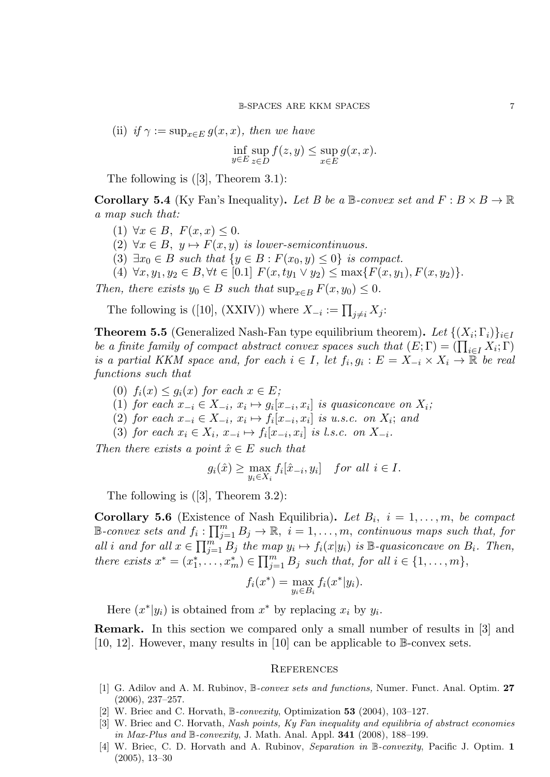(ii) if  $\gamma := \sup_{x \in E} g(x, x)$ , then we have

$$
\inf_{y \in E} \sup_{z \in D} f(z, y) \le \sup_{x \in E} g(x, x).
$$

The following is ([3], Theorem 3.1):

**Corollary 5.4** (Ky Fan's Inequality). Let B be a  $\mathbb{B}$ -convex set and  $F : B \times B \to \mathbb{R}$ a map such that:

- (1)  $\forall x \in B$ ,  $F(x, x) \leq 0$ .
- (2)  $\forall x \in B$ ,  $y \mapsto F(x, y)$  is lower-semicontinuous.
- (3)  $\exists x_0 \in B$  such that  $\{y \in B : F(x_0, y) \leq 0\}$  is compact.
- (4)  $\forall x, y_1, y_2 \in B, \forall t \in [0.1]$   $F(x, ty_1 \vee y_2) \leq \max\{F(x, y_1), F(x, y_2)\}.$

Then, there exists  $y_0 \in B$  such that  $\sup_{x \in B} F(x, y_0) \leq 0$ .

The following is ([10], (XXIV)) where  $X_{-i} := \prod_{j \neq i} X_j$ :

**Theorem 5.5** (Generalized Nash-Fan type equilibrium theorem). Let  $\{(X_i; \Gamma_i)\}_{i \in I}$ be a finite family of compact abstract convex spaces such that  $(E; \Gamma) = (\prod_{i \in I} X_i; \Gamma)$ is a partial KKM space and, for each  $i \in I$ , let  $f_i, g_i : E = X_{-i} \times X_i \to \mathbb{R}$  be real functions such that

- (0)  $f_i(x) \leq g_i(x)$  for each  $x \in E$ ;
- (1) for each  $x_{-i} \in X_{-i}$ ,  $x_i \mapsto g_i[x_{-i}, x_i]$  is quasiconcave on  $X_i$ ;
- (2) for each  $x_{-i} \in X_{-i}$ ,  $x_i \mapsto f_i[x_{-i}, x_i]$  is u.s.c. on  $X_i$ ; and
- (3) for each  $x_i \in X_i$ ,  $x_{-i} \mapsto f_i[x_{-i}, x_i]$  is l.s.c. on  $X_{-i}$ .

Then there exists a point  $\hat{x} \in E$  such that

$$
g_i(\hat{x}) \ge \max_{y_i \in X_i} f_i[\hat{x}_{-i}, y_i]
$$
 for all  $i \in I$ .

The following is ([3], Theorem 3.2):

**Corollary 5.6** (Existence of Nash Equilibria). Let  $B_i$ ,  $i = 1, \ldots, m$ , be compact  $\mathbb{B}\text{-}convex\; sets\; and\; f_i:\prod_{j=1}^m B_j\to\mathbb{R},\; i=1,\ldots,m,\; continuous\; maps\; such\; that,\; for$ all i and for all  $x \in \prod_{j=1}^m B_j$  the map  $y_i \mapsto f_i(x|y_i)$  is  $\mathbb{B}$ -quasiconcave on  $B_i$ . Then, there exists  $x^* = (x_1^*, \ldots, x_m^*) \in \prod_{j=1}^m B_j$  such that, for all  $i \in \{1, \ldots, m\}$ ,

$$
f_i(x^*) = \max_{y_i \in B_i} f_i(x^*|y_i).
$$

Here  $(x^*|y_i)$  is obtained from  $x^*$  by replacing  $x_i$  by  $y_i$ .

Remark. In this section we compared only a small number of results in [3] and [10, 12]. However, many results in [10] can be applicable to B-convex sets.

### **REFERENCES**

- [1] G. Adilov and A. M. Rubinov, B-convex sets and functions, Numer. Funct. Anal. Optim. 27 (2006), 237–257.
- [2] W. Briec and C. Horvath,  $\mathbb{B}\text{-}convexity$ , Optimization 53 (2004), 103–127.
- [3] W. Briec and C. Horvath, Nash points, Ky Fan inequality and equilibria of abstract economies in Max-Plus and B-convexity, J. Math. Anal. Appl.  $341$  (2008), 188–199.
- [4] W. Briec, C. D. Horvath and A. Rubinov, Separation in B-convexity, Pacific J. Optim. 1 (2005), 13–30